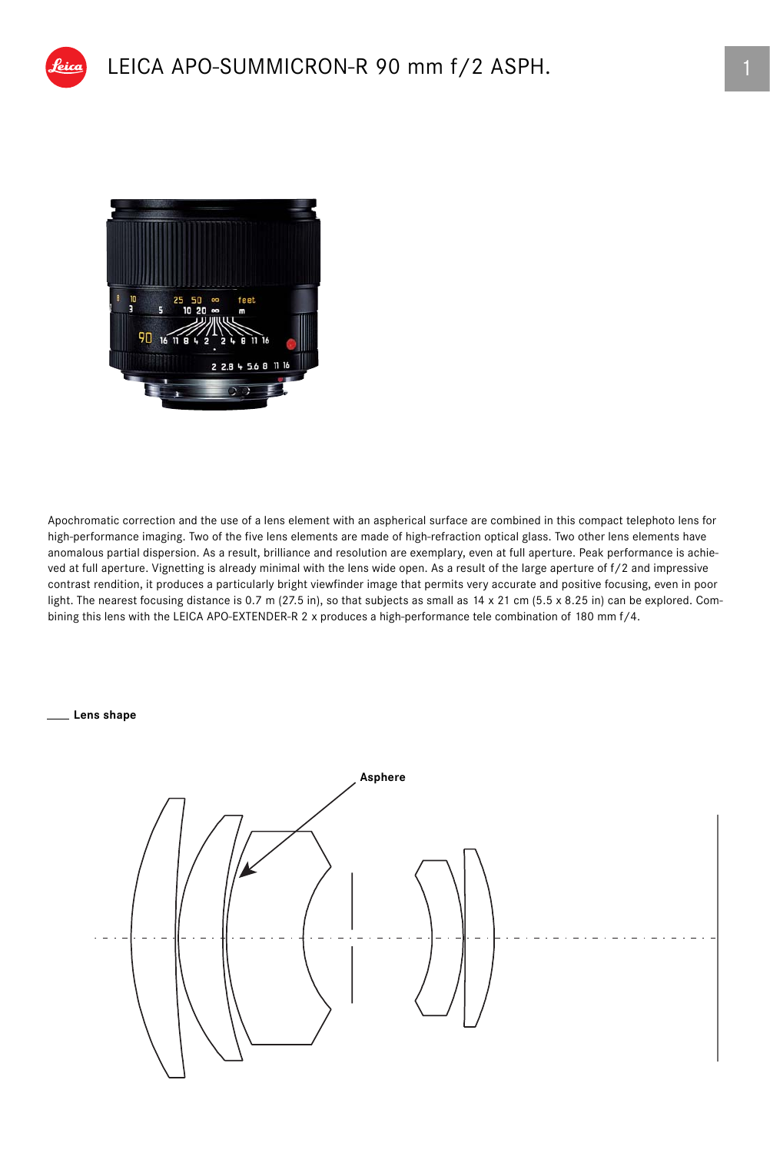

Apochromatic correction and the use of a lens element with an aspherical surface are combined in this compact telephoto lens for high-performance imaging. Two of the five lens elements are made of high-refraction optical glass. Two other lens elements have anomalous partial dispersion. As a result, brilliance and resolution are exemplary, even at full aperture. Peak performance is achieved at full aperture. Vignetting is already minimal with the lens wide open. As a result of the large aperture of f/2 and impressive contrast rendition, it produces a particularly bright viewfinder image that permits very accurate and positive focusing, even in poor light. The nearest focusing distance is 0.7 m (27.5 in), so that subjects as small as 14 x 21 cm (5.5 x 8.25 in) can be explored. Combining this lens with the LEICA APO-EXTENDER-R 2 x produces a high-performance tele combination of 180 mm f/4.

**Lens shape**

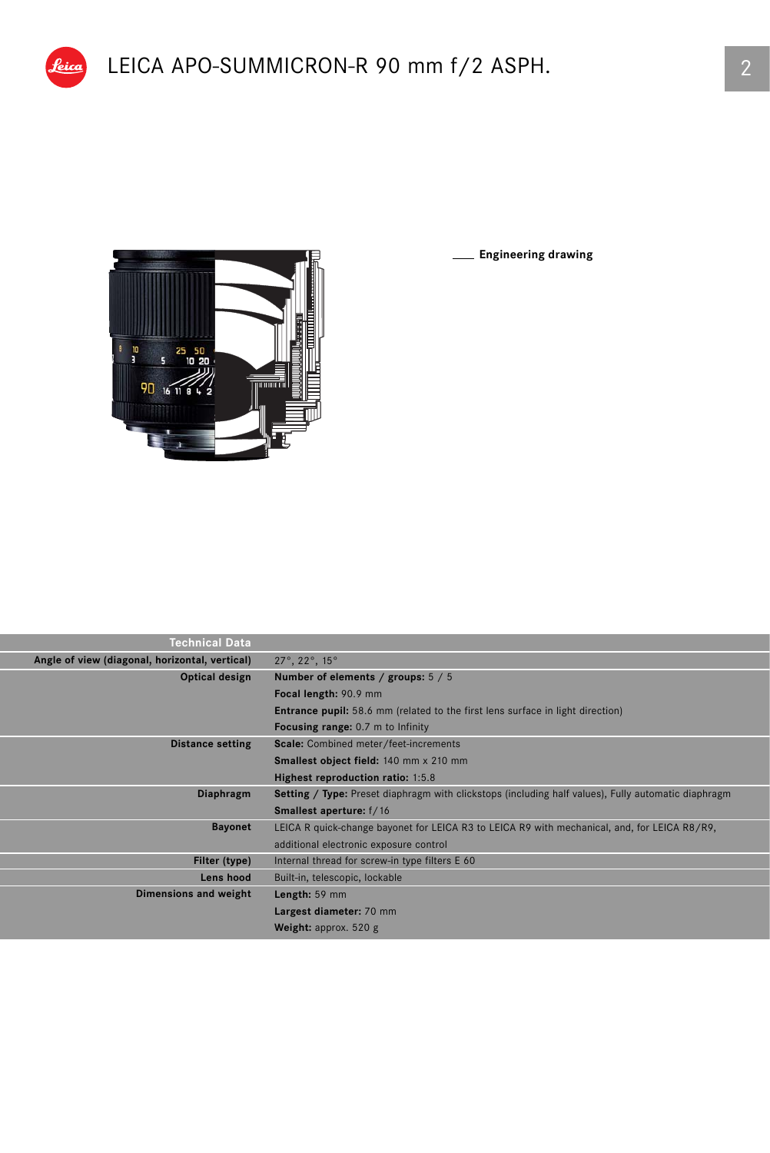

<u>feica |</u>

**Engineering drawing**

| <b>Technical Data</b>                          |                                                                                                            |  |  |  |
|------------------------------------------------|------------------------------------------------------------------------------------------------------------|--|--|--|
| Angle of view (diagonal, horizontal, vertical) | $27^\circ$ , $22^\circ$ , $15^\circ$                                                                       |  |  |  |
| Optical design                                 | Number of elements / groups: 5 / 5                                                                         |  |  |  |
|                                                | Focal length: 90.9 mm                                                                                      |  |  |  |
|                                                | <b>Entrance pupil:</b> 58.6 mm (related to the first lens surface in light direction)                      |  |  |  |
|                                                | <b>Focusing range:</b> 0.7 m to Infinity                                                                   |  |  |  |
| <b>Distance setting</b>                        | <b>Scale:</b> Combined meter/feet-increments                                                               |  |  |  |
|                                                | Smallest object field: 140 mm x 210 mm                                                                     |  |  |  |
|                                                | Highest reproduction ratio: 1:5.8                                                                          |  |  |  |
| Diaphragm                                      | <b>Setting / Type:</b> Preset diaphragm with clickstops (including half values), Fully automatic diaphragm |  |  |  |
|                                                | <b>Smallest aperture:</b> f/16                                                                             |  |  |  |
| <b>Bayonet</b>                                 | LEICA R quick-change bayonet for LEICA R3 to LEICA R9 with mechanical, and, for LEICA R8/R9,               |  |  |  |
|                                                | additional electronic exposure control                                                                     |  |  |  |
| Filter (type)                                  | Internal thread for screw-in type filters E 60                                                             |  |  |  |
| Lens hood                                      | Built-in, telescopic, lockable                                                                             |  |  |  |
| Dimensions and weight                          | Length: 59 mm                                                                                              |  |  |  |
|                                                | Largest diameter: 70 mm                                                                                    |  |  |  |
|                                                | <b>Weight:</b> approx. $520$ g                                                                             |  |  |  |
|                                                |                                                                                                            |  |  |  |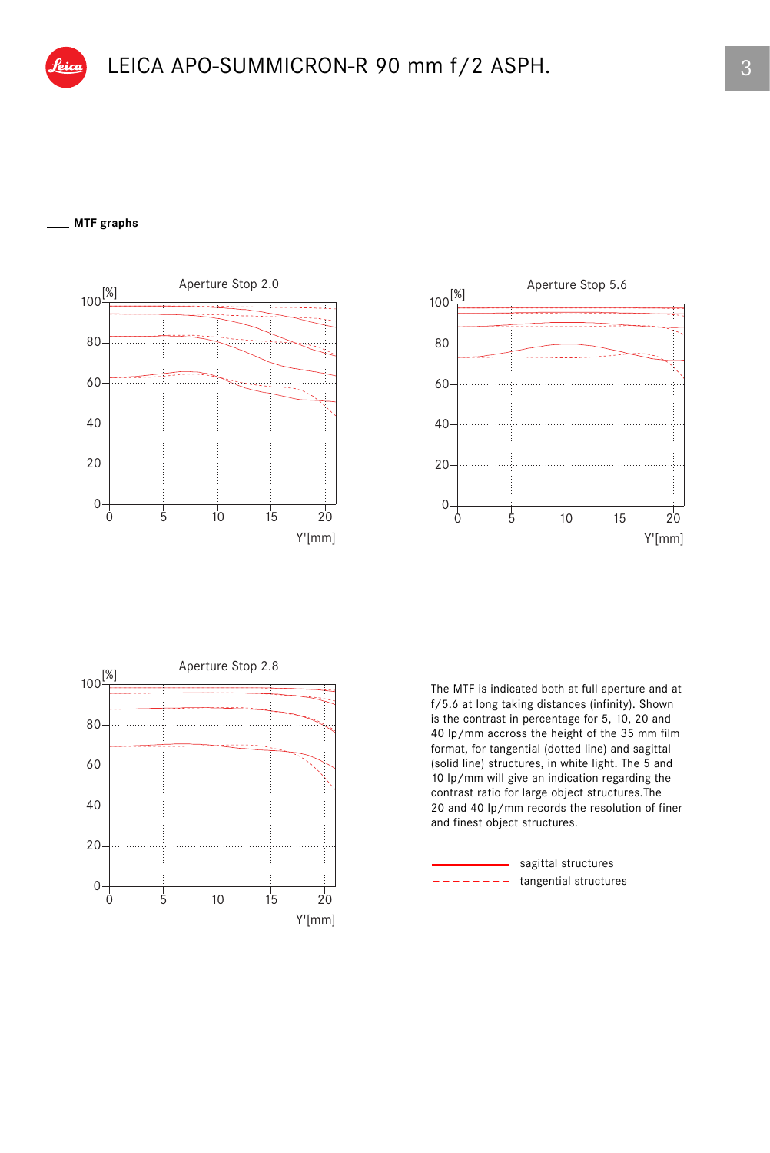## **MTF graphs**







The MTF is indicated both at full aperture and at f/5.6 at long taking distances (infinity). Shown is the contrast in percentage for 5, 10, 20 and 40 lp/mm accross the height of the 35 mm film format, for tangential (dotted line) and sagittal (solid line) structures, in white light. The 5 and 10 lp/mm will give an indication regarding the contrast ratio for large object structures.The 20 and 40 lp/mm records the resolution of finer and finest object structures.

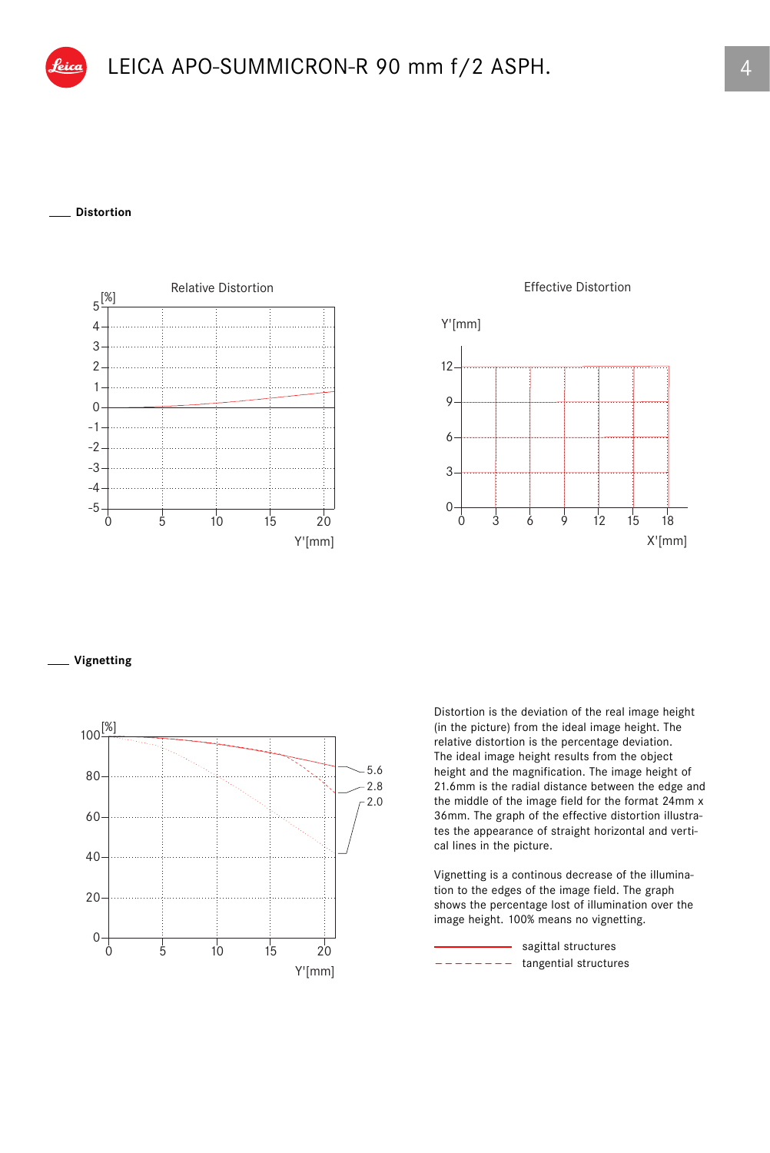## **Distortion**



Effective Distortion



## **Vignetting**



Distortion is the deviation of the real image height (in the picture) from the ideal image height. The relative distortion is the percentage deviation. The ideal image height results from the object height and the magnification. The image height of 21.6mm is the radial distance between the edge and the middle of the image field for the format 24mm x 36mm. The graph of the effective distortion illustrates the appearance of straight horizontal and vertical lines in the picture.

Vignetting is a continous decrease of the illumination to the edges of the image field. The graph shows the percentage lost of illumination over the image height. 100% means no vignetting.

 $------$  tangential structures sagittal structures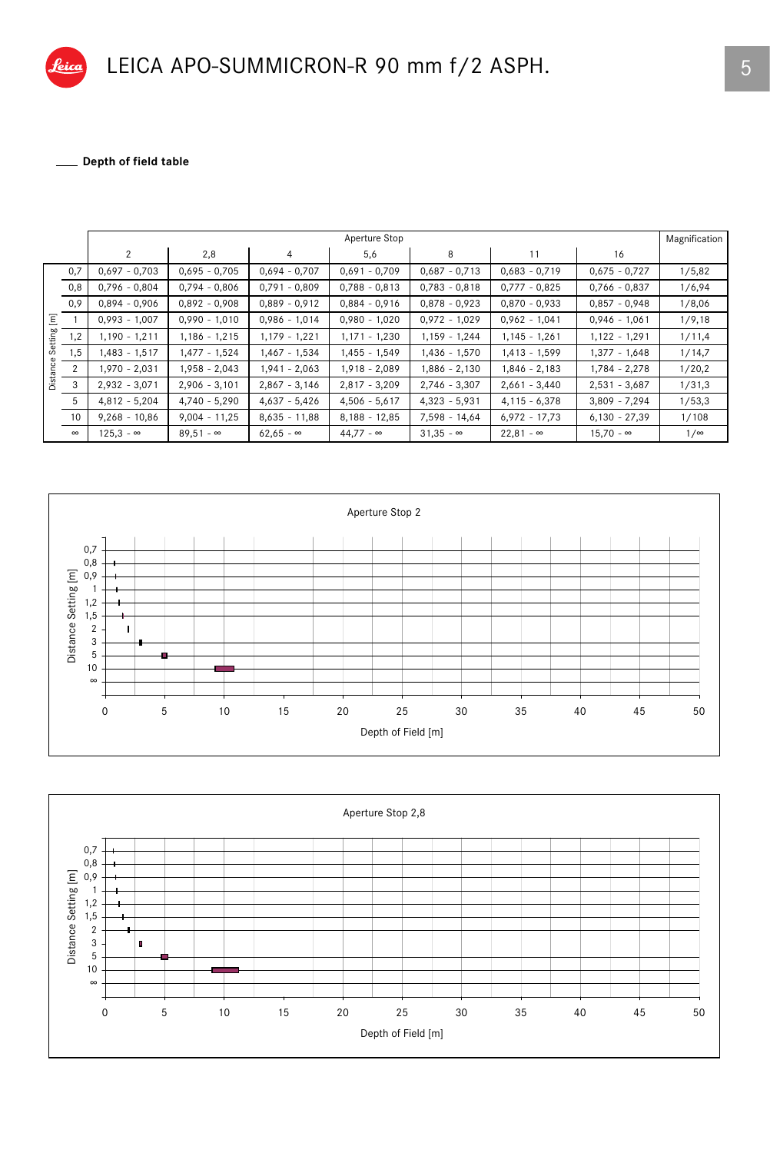Depth of field table

|                          |                | Aperture Stop    |                  |                  |                  |                  |                  |                  |        |  |
|--------------------------|----------------|------------------|------------------|------------------|------------------|------------------|------------------|------------------|--------|--|
|                          |                | 2                | 2,8              | 4                | 5,6              | 8                | 11               | 16               |        |  |
| Ξ<br>Setting<br>Distance | 0,7            | $0.697 - 0.703$  | $0.695 - 0.705$  | $0.694 - 0.707$  | $0,691 - 0,709$  | $0,687 - 0,713$  | $0,683 - 0,719$  | $0,675 - 0,727$  | 1/5,82 |  |
|                          | 0,8            | $0,796 - 0,804$  | $0,794 - 0,806$  | $0,791 - 0,809$  | $0,788 - 0,813$  | $0,783 - 0,818$  | $0,777 - 0,825$  | $0,766 - 0,837$  | 1/6,94 |  |
|                          | 0,9            | $0,894 - 0,906$  | $0.892 - 0.908$  | $0,889 - 0,912$  | $0,884 - 0,916$  | $0,878 - 0,923$  | $0,870 - 0,933$  | $0,857 - 0,948$  | 1/8,06 |  |
|                          |                | $0,993 - 1,007$  | $0,990 - 1,010$  | $0,986 - 1,014$  | $0,980 - 1,020$  | $0,972 - 1,029$  | $0,962 - 1,041$  | $0,946 - 1,061$  | 1/9,18 |  |
|                          | 1,2            | $1,190 - 1,211$  | $1,186 - 1,215$  | 1,179 - 1,221    | $1,171 - 1,230$  | 1,159 - 1,244    | $1,145 - 1,261$  | 1,122 - 1,291    | 1/11,4 |  |
|                          | 1,5            | $1,483 - 1,517$  | 1,477 - 1,524    | $1,467 - 1,534$  | $1,455 - 1,549$  | 1,436 - 1,570    | $1,413 - 1,599$  | $1,377 - 1,648$  | 1/14,7 |  |
|                          | $\overline{2}$ | $1,970 - 2,031$  | $1,958 - 2,043$  | $1,941 - 2,063$  | $1,918 - 2,089$  | 1,886 - 2,130    | $1,846 - 2,183$  | $1,784 - 2,278$  | 1/20,2 |  |
|                          | 3              | $2,932 - 3,071$  | $2,906 - 3,101$  | $2,867 - 3,146$  | $2,817 - 3,209$  | $2,746 - 3,307$  | $2,661 - 3,440$  | $2,531 - 3,687$  | 1/31,3 |  |
|                          | 5              | $4,812 - 5,204$  | $4,740 - 5,290$  | $4,637 - 5,426$  | $4,506 - 5,617$  | $4,323 - 5,931$  | $4,115 - 6,378$  | $3,809 - 7,294$  | 1/53,3 |  |
|                          | 10             | $9,268 - 10,86$  | $9,004 - 11,25$  | $8,635 - 11,88$  | $8,188 - 12,85$  | 7,598 - 14,64    | $6,972 - 17,73$  | $6,130 - 27,39$  | 1/108  |  |
|                          | $\infty$       | $125.3 - \infty$ | $89.51 - \infty$ | $62,65 - \infty$ | $44.77 - \infty$ | $31.35 - \infty$ | $22.81 - \infty$ | $15.70 - \infty$ | 1/∞    |  |



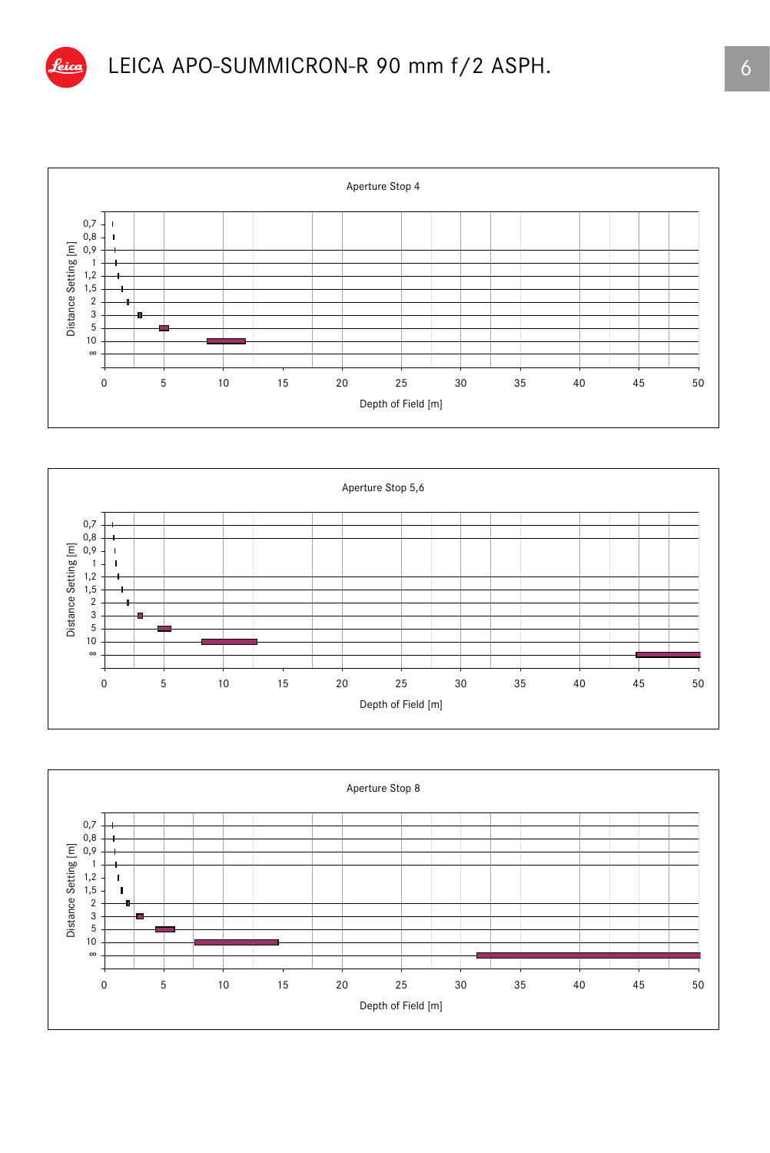

## LEICA APO-SUMMICRON-R 90 mm f/2 ASPH.